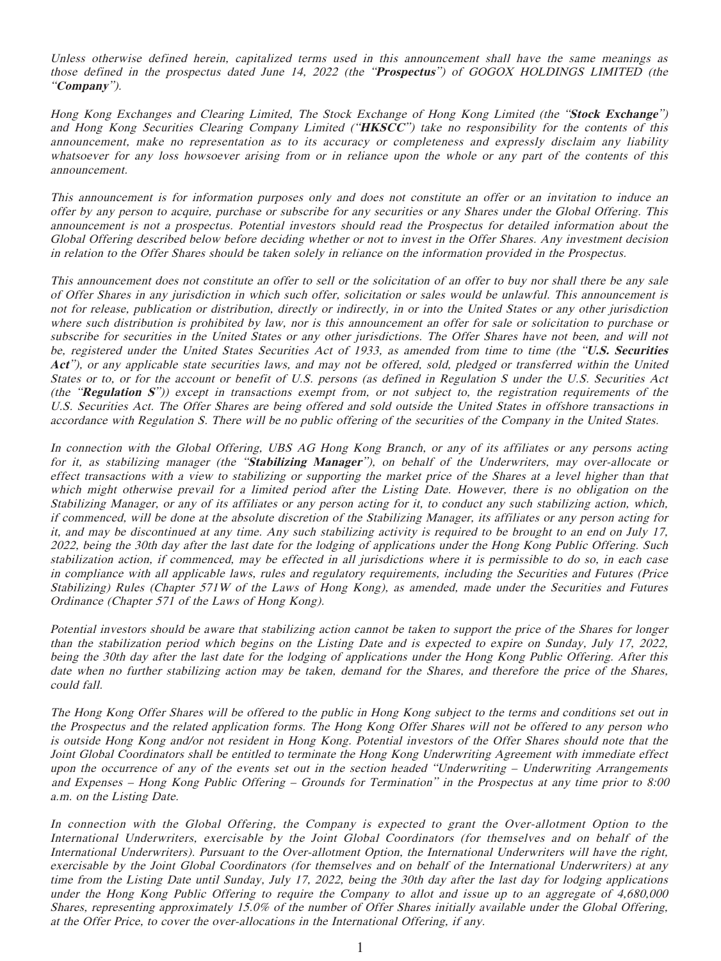Unless otherwise defined herein, capitalized terms used in this announcement shall have the same meanings as those defined in the prospectus dated June 14, 2022 (the "**Prospectus**") of GOGOX HOLDINGS LIMITED (the "**Company**").

Hong Kong Exchanges and Clearing Limited, The Stock Exchange of Hong Kong Limited (the "**Stock Exchange**") and Hong Kong Securities Clearing Company Limited ("**HKSCC**") take no responsibility for the contents of this announcement, make no representation as to its accuracy or completeness and expressly disclaim any liability whatsoever for any loss howsoever arising from or in reliance upon the whole or any part of the contents of this announcement.

This announcement is for information purposes only and does not constitute an offer or an invitation to induce an offer by any person to acquire, purchase or subscribe for any securities or any Shares under the Global Offering. This announcement is not a prospectus. Potential investors should read the Prospectus for detailed information about the Global Offering described below before deciding whether or not to invest in the Offer Shares. Any investment decision in relation to the Offer Shares should be taken solely in reliance on the information provided in the Prospectus.

This announcement does not constitute an offer to sell or the solicitation of an offer to buy nor shall there be any sale of Offer Shares in any jurisdiction in which such offer, solicitation or sales would be unlawful. This announcement is not for release, publication or distribution, directly or indirectly, in or into the United States or any other jurisdiction where such distribution is prohibited by law, nor is this announcement an offer for sale or solicitation to purchase or subscribe for securities in the United States or any other jurisdictions. The Offer Shares have not been, and will not be, registered under the United States Securities Act of 1933, as amended from time to time (the "**U.S. Securities Act**"), or any applicable state securities laws, and may not be offered, sold, pledged or transferred within the United States or to, or for the account or benefit of U.S. persons (as defined in Regulation S under the U.S. Securities Act (the "**Regulation S**")) except in transactions exempt from, or not subject to, the registration requirements of the U.S. Securities Act. The Offer Shares are being offered and sold outside the United States in offshore transactions in accordance with Regulation S. There will be no public offering of the securities of the Company in the United States.

In connection with the Global Offering, UBS AG Hong Kong Branch, or any of its affiliates or any persons acting for it, as stabilizing manager (the "**Stabilizing Manager**"), on behalf of the Underwriters, may over-allocate or effect transactions with a view to stabilizing or supporting the market price of the Shares at a level higher than that which might otherwise prevail for a limited period after the Listing Date. However, there is no obligation on the Stabilizing Manager, or any of its affiliates or any person acting for it, to conduct any such stabilizing action, which, if commenced, will be done at the absolute discretion of the Stabilizing Manager, its affiliates or any person acting for it, and may be discontinued at any time. Any such stabilizing activity is required to be brought to an end on July 17, 2022, being the 30th day after the last date for the lodging of applications under the Hong Kong Public Offering. Such stabilization action, if commenced, may be effected in all jurisdictions where it is permissible to do so, in each case in compliance with all applicable laws, rules and regulatory requirements, including the Securities and Futures (Price Stabilizing) Rules (Chapter 571W of the Laws of Hong Kong), as amended, made under the Securities and Futures Ordinance (Chapter 571 of the Laws of Hong Kong).

Potential investors should be aware that stabilizing action cannot be taken to support the price of the Shares for longer than the stabilization period which begins on the Listing Date and is expected to expire on Sunday, July 17, 2022, being the 30th day after the last date for the lodging of applications under the Hong Kong Public Offering. After this date when no further stabilizing action may be taken, demand for the Shares, and therefore the price of the Shares, could fall.

The Hong Kong Offer Shares will be offered to the public in Hong Kong subject to the terms and conditions set out in the Prospectus and the related application forms. The Hong Kong Offer Shares will not be offered to any person who is outside Hong Kong and/or not resident in Hong Kong. Potential investors of the Offer Shares should note that the Joint Global Coordinators shall be entitled to terminate the Hong Kong Underwriting Agreement with immediate effect upon the occurrence of any of the events set out in the section headed "Underwriting – Underwriting Arrangements and Expenses – Hong Kong Public Offering – Grounds for Termination" in the Prospectus at any time prior to 8:00 a.m. on the Listing Date.

In connection with the Global Offering, the Company is expected to grant the Over-allotment Option to the International Underwriters, exercisable by the Joint Global Coordinators (for themselves and on behalf of the International Underwriters). Pursuant to the Over-allotment Option, the International Underwriters will have the right, exercisable by the Joint Global Coordinators (for themselves and on behalf of the International Underwriters) at any time from the Listing Date until Sunday, July 17, 2022, being the 30th day after the last day for lodging applications under the Hong Kong Public Offering to require the Company to allot and issue up to an aggregate of 4,680,000 Shares, representing approximately 15.0% of the number of Offer Shares initially available under the Global Offering, at the Offer Price, to cover the over-allocations in the International Offering, if any.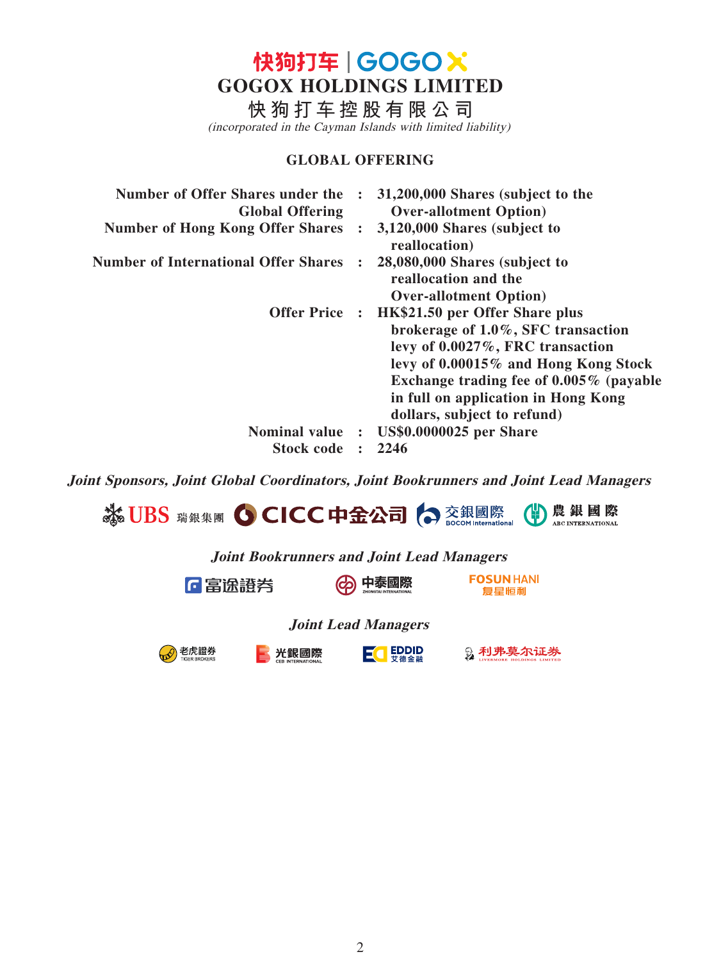快狗打车 | GOGOX **GOGOX HOLDINGS LIMITED**

**快狗打车控股有限公司**

(incorporated in the Cayman Islands with limited liability)

## **GLOBAL OFFERING**

| Number of Offer Shares under the<br><b>Global Offering</b> |                | 31,200,000 Shares (subject to the<br><b>Over-allotment Option</b> )                                                                                                                                                                                                                        |
|------------------------------------------------------------|----------------|--------------------------------------------------------------------------------------------------------------------------------------------------------------------------------------------------------------------------------------------------------------------------------------------|
| <b>Number of Hong Kong Offer Shares</b>                    |                | 3,120,000 Shares (subject to<br>reallocation)                                                                                                                                                                                                                                              |
| <b>Number of International Offer Shares</b>                |                | 28,080,000 Shares (subject to<br>reallocation and the<br><b>Over-allotment Option</b> )                                                                                                                                                                                                    |
|                                                            |                | Offer Price : HK\$21.50 per Offer Share plus<br>brokerage of $1.0\%$ , SFC transaction<br>levy of $0.0027\%$ , FRC transaction<br>levy of 0.00015% and Hong Kong Stock<br>Exchange trading fee of $0.005\%$ (payable<br>in full on application in Hong Kong<br>dollars, subject to refund) |
| <b>Nominal value</b>                                       | $\ddot{\cdot}$ | <b>US\$0.0000025</b> per Share                                                                                                                                                                                                                                                             |
| <b>Stock code</b>                                          |                | 2246                                                                                                                                                                                                                                                                                       |

**Joint Sponsors, Joint Global Coordinators, Joint Bookrunners and Joint Lead Managers**



**Joint Bookrunners and Joint Lead Managers**



老虎證券

-6

中泰國際 (တွဲ)

**FOSUN HANI** 复星恒利

**Joint Lead Managers**



 $E$ <sup></sup>

**及利弗莫尔证券**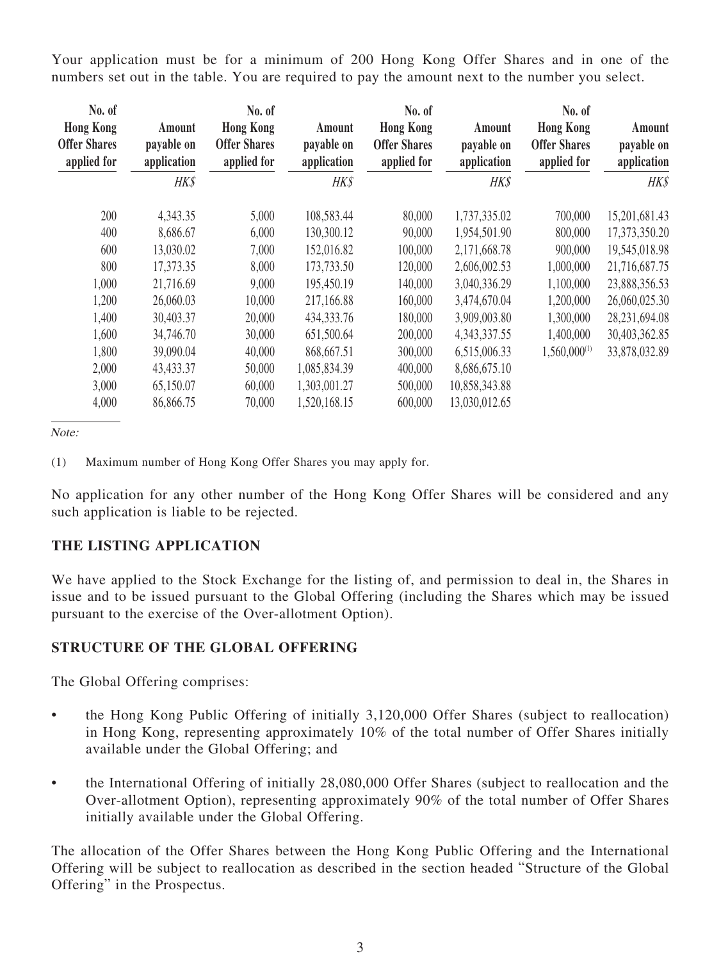Your application must be for a minimum of 200 Hong Kong Offer Shares and in one of the numbers set out in the table. You are required to pay the amount next to the number you select.

| No. of<br><b>Hong Kong</b><br><b>Offer Shares</b><br>applied for | Amount<br>payable on<br>application<br>HK\$ | No. of<br><b>Hong Kong</b><br><b>Offer Shares</b><br>applied for | Amount<br>payable on<br>application<br>HK\$ | No. of<br><b>Hong Kong</b><br><b>Offer Shares</b><br>applied for | Amount<br>payable on<br>application<br><b>HK\$</b> | No. of<br><b>Hong Kong</b><br><b>Offer Shares</b><br>applied for | Amount<br>payable on<br>application<br><b>HK\$</b> |
|------------------------------------------------------------------|---------------------------------------------|------------------------------------------------------------------|---------------------------------------------|------------------------------------------------------------------|----------------------------------------------------|------------------------------------------------------------------|----------------------------------------------------|
| 200                                                              | 4,343.35                                    | 5,000                                                            | 108,583.44                                  | 80,000                                                           | 1,737,335.02                                       | 700,000                                                          | 15,201,681.43                                      |
| 400                                                              | 8,686.67                                    | 6,000                                                            | 130,300.12                                  | 90,000                                                           | 1,954,501.90                                       | 800,000                                                          | 17,373,350.20                                      |
| 600                                                              | 13,030.02                                   | 7,000                                                            | 152,016.82                                  | 100,000                                                          | 2,171,668.78                                       | 900,000                                                          | 19,545,018.98                                      |
| 800                                                              | 17,373.35                                   | 8,000                                                            | 173,733.50                                  | 120,000                                                          | 2,606,002.53                                       | 1,000,000                                                        | 21,716,687.75                                      |
| 1,000                                                            | 21,716.69                                   | 9,000                                                            | 195,450.19                                  | 140,000                                                          | 3,040,336.29                                       | 1,100,000                                                        | 23,888,356.53                                      |
| 1,200                                                            | 26,060.03                                   | 10,000                                                           | 217,166.88                                  | 160,000                                                          | 3,474,670.04                                       | 1,200,000                                                        | 26,060,025.30                                      |
| 1,400                                                            | 30,403.37                                   | 20,000                                                           | 434, 333. 76                                | 180,000                                                          | 3,909,003.80                                       | 1,300,000                                                        | 28,231,694.08                                      |
| 1,600                                                            | 34,746.70                                   | 30,000                                                           | 651,500.64                                  | 200,000                                                          | 4, 343, 337. 55                                    | 1,400,000                                                        | 30,403,362.85                                      |
| 1,800                                                            | 39,090.04                                   | 40,000                                                           | 868,667.51                                  | 300,000                                                          | 6,515,006.33                                       | $1,560,000^{(1)}$                                                | 33,878,032.89                                      |
| 2,000                                                            | 43,433.37                                   | 50,000                                                           | 1,085,834.39                                | 400,000                                                          | 8,686,675.10                                       |                                                                  |                                                    |
| 3,000                                                            | 65,150.07                                   | 60,000                                                           | 1,303,001.27                                | 500,000                                                          | 10,858,343.88                                      |                                                                  |                                                    |
| 4,000                                                            | 86,866.75                                   | 70,000                                                           | 1,520,168.15                                | 600,000                                                          | 13,030,012.65                                      |                                                                  |                                                    |
|                                                                  |                                             |                                                                  |                                             |                                                                  |                                                    |                                                                  |                                                    |

Note:

(1) Maximum number of Hong Kong Offer Shares you may apply for.

No application for any other number of the Hong Kong Offer Shares will be considered and any such application is liable to be rejected.

### **THE LISTING APPLICATION**

We have applied to the Stock Exchange for the listing of, and permission to deal in, the Shares in issue and to be issued pursuant to the Global Offering (including the Shares which may be issued pursuant to the exercise of the Over-allotment Option).

### **STRUCTURE OF THE GLOBAL OFFERING**

The Global Offering comprises:

- the Hong Kong Public Offering of initially 3,120,000 Offer Shares (subject to reallocation) in Hong Kong, representing approximately 10% of the total number of Offer Shares initially available under the Global Offering; and
- the International Offering of initially 28,080,000 Offer Shares (subject to reallocation and the Over-allotment Option), representing approximately 90% of the total number of Offer Shares initially available under the Global Offering.

The allocation of the Offer Shares between the Hong Kong Public Offering and the International Offering will be subject to reallocation as described in the section headed "Structure of the Global Offering" in the Prospectus.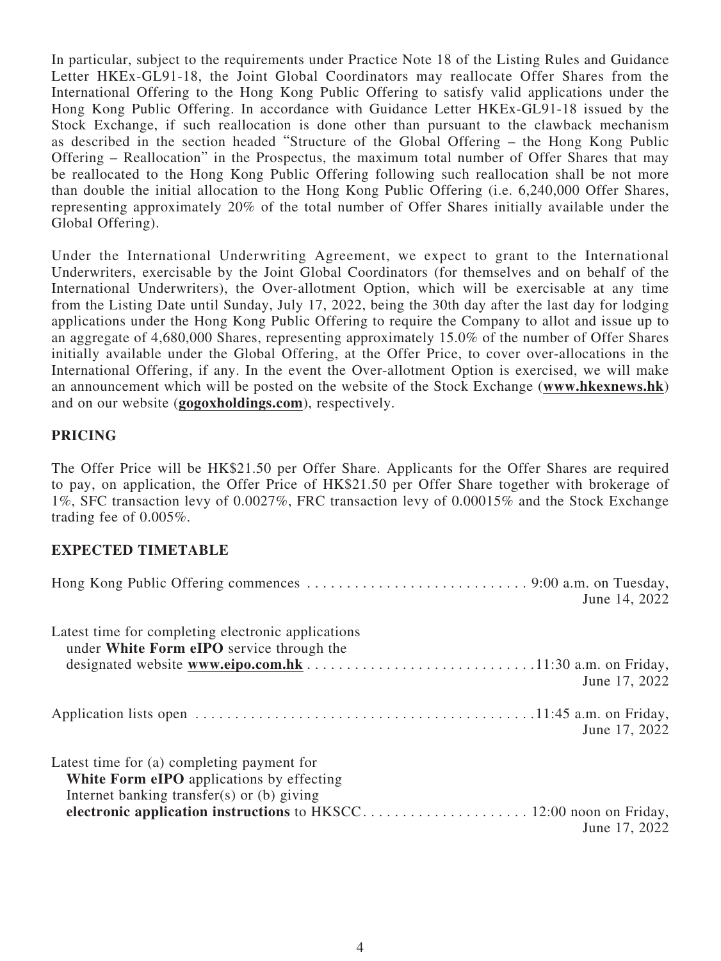In particular, subject to the requirements under Practice Note 18 of the Listing Rules and Guidance Letter HKEx-GL91-18, the Joint Global Coordinators may reallocate Offer Shares from the International Offering to the Hong Kong Public Offering to satisfy valid applications under the Hong Kong Public Offering. In accordance with Guidance Letter HKEx-GL91-18 issued by the Stock Exchange, if such reallocation is done other than pursuant to the clawback mechanism as described in the section headed "Structure of the Global Offering – the Hong Kong Public Offering – Reallocation" in the Prospectus, the maximum total number of Offer Shares that may be reallocated to the Hong Kong Public Offering following such reallocation shall be not more than double the initial allocation to the Hong Kong Public Offering (i.e. 6,240,000 Offer Shares, representing approximately 20% of the total number of Offer Shares initially available under the Global Offering).

Under the International Underwriting Agreement, we expect to grant to the International Underwriters, exercisable by the Joint Global Coordinators (for themselves and on behalf of the International Underwriters), the Over-allotment Option, which will be exercisable at any time from the Listing Date until Sunday, July 17, 2022, being the 30th day after the last day for lodging applications under the Hong Kong Public Offering to require the Company to allot and issue up to an aggregate of 4,680,000 Shares, representing approximately 15.0% of the number of Offer Shares initially available under the Global Offering, at the Offer Price, to cover over-allocations in the International Offering, if any. In the event the Over-allotment Option is exercised, we will make an announcement which will be posted on the website of the Stock Exchange (**www.hkexnews.hk**) and on our website (**gogoxholdings.com**), respectively.

# **PRICING**

The Offer Price will be HK\$21.50 per Offer Share. Applicants for the Offer Shares are required to pay, on application, the Offer Price of HK\$21.50 per Offer Share together with brokerage of 1%, SFC transaction levy of 0.0027%, FRC transaction levy of 0.00015% and the Stock Exchange trading fee of 0.005%.

### **EXPECTED TIMETABLE**

|                                                                                                                                              | June 14, 2022 |
|----------------------------------------------------------------------------------------------------------------------------------------------|---------------|
| Latest time for completing electronic applications<br>under White Form eIPO service through the                                              | June 17, 2022 |
|                                                                                                                                              | June 17, 2022 |
| Latest time for (a) completing payment for<br><b>White Form eIPO</b> applications by effecting<br>Internet banking transfer(s) or (b) giving | June 17, 2022 |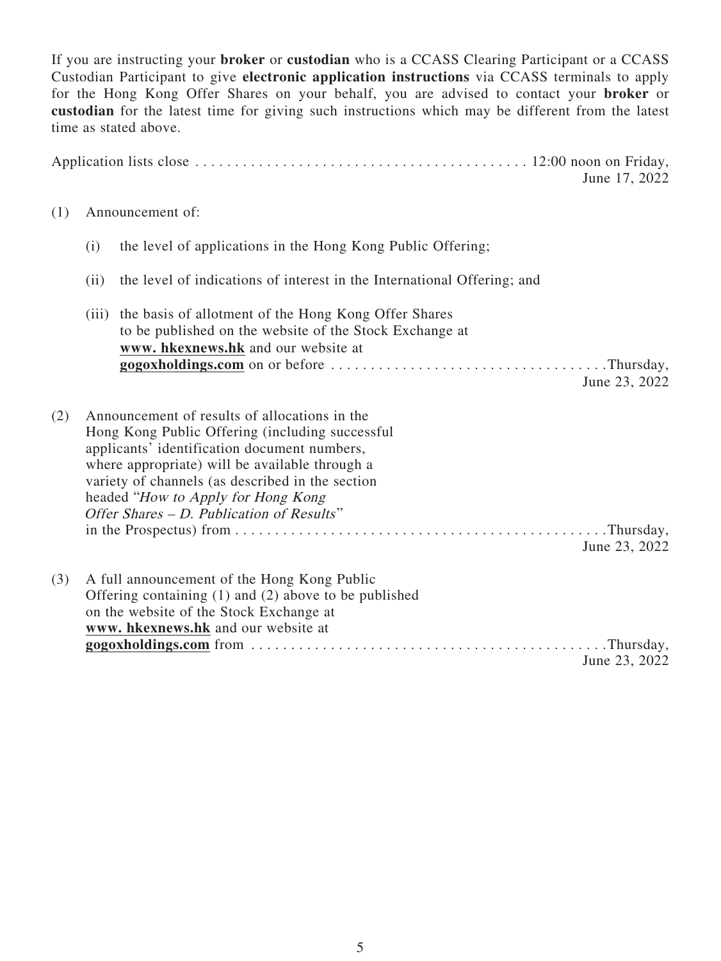If you are instructing your **broker** or **custodian** who is a CCASS Clearing Participant or a CCASS Custodian Participant to give **electronic application instructions** via CCASS terminals to apply for the Hong Kong Offer Shares on your behalf, you are advised to contact your **broker** or **custodian** for the latest time for giving such instructions which may be different from the latest time as stated above.

|     |      |                                                                                                                                                                                                                                                                                                                                           | June 17, 2022 |
|-----|------|-------------------------------------------------------------------------------------------------------------------------------------------------------------------------------------------------------------------------------------------------------------------------------------------------------------------------------------------|---------------|
| (1) |      | Announcement of:                                                                                                                                                                                                                                                                                                                          |               |
|     | (i)  | the level of applications in the Hong Kong Public Offering;                                                                                                                                                                                                                                                                               |               |
|     | (ii) | the level of indications of interest in the International Offering; and                                                                                                                                                                                                                                                                   |               |
|     |      | (iii) the basis of allotment of the Hong Kong Offer Shares<br>to be published on the website of the Stock Exchange at<br>www. hkexnews.hk and our website at                                                                                                                                                                              | June 23, 2022 |
| (2) |      | Announcement of results of allocations in the<br>Hong Kong Public Offering (including successful<br>applicants' identification document numbers,<br>where appropriate) will be available through a<br>variety of channels (as described in the section<br>headed "How to Apply for Hong Kong<br>Offer Shares - D. Publication of Results" | June 23, 2022 |
| (3) |      | A full announcement of the Hong Kong Public<br>Offering containing $(1)$ and $(2)$ above to be published<br>on the website of the Stock Exchange at<br>www. hkexnews.hk and our website at                                                                                                                                                | June 23, 2022 |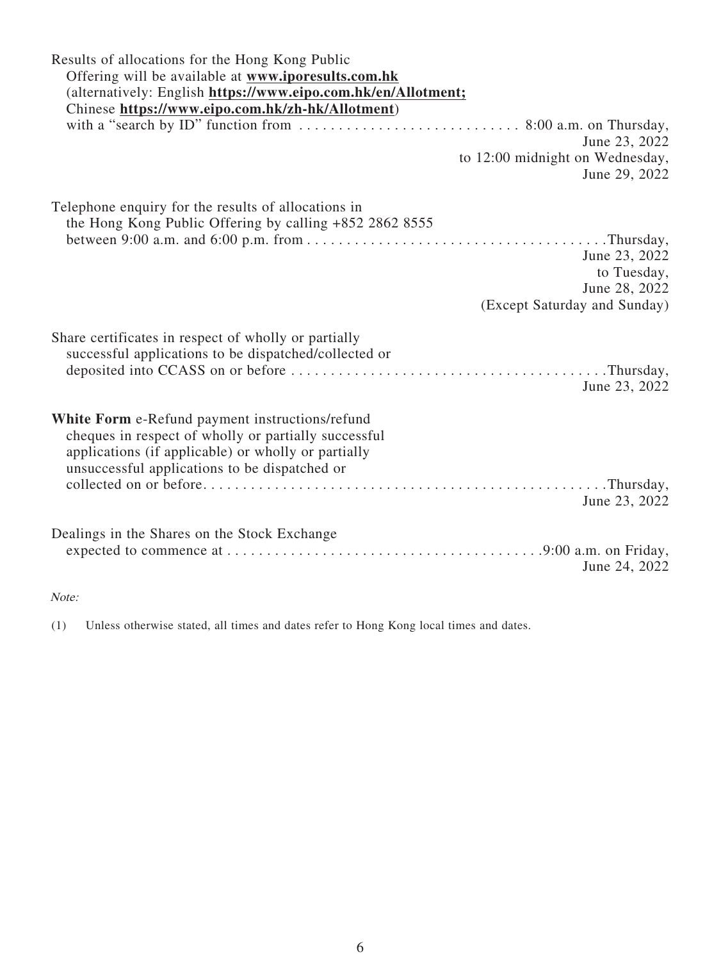| Results of allocations for the Hong Kong Public                                                               |
|---------------------------------------------------------------------------------------------------------------|
| Offering will be available at www.iporesults.com.hk                                                           |
| (alternatively: English https://www.eipo.com.hk/en/Allotment;                                                 |
| Chinese https://www.eipo.com.hk/zh-hk/Allotment)                                                              |
|                                                                                                               |
| June 23, 2022                                                                                                 |
| to 12:00 midnight on Wednesday,                                                                               |
| June 29, 2022                                                                                                 |
|                                                                                                               |
| Telephone enquiry for the results of allocations in                                                           |
| the Hong Kong Public Offering by calling +852 2862 8555                                                       |
|                                                                                                               |
| June 23, 2022                                                                                                 |
| to Tuesday,                                                                                                   |
| June 28, 2022                                                                                                 |
| (Except Saturday and Sunday)                                                                                  |
| Share certificates in respect of wholly or partially<br>successful applications to be dispatched/collected or |
| June 23, 2022                                                                                                 |
| White Form e-Refund payment instructions/refund                                                               |
| cheques in respect of wholly or partially successful                                                          |
| applications (if applicable) or wholly or partially                                                           |
| unsuccessful applications to be dispatched or                                                                 |
|                                                                                                               |
| June 23, 2022                                                                                                 |
|                                                                                                               |
| Dealings in the Shares on the Stock Exchange                                                                  |
|                                                                                                               |
| June 24, 2022                                                                                                 |

#### Note:

(1) Unless otherwise stated, all times and dates refer to Hong Kong local times and dates.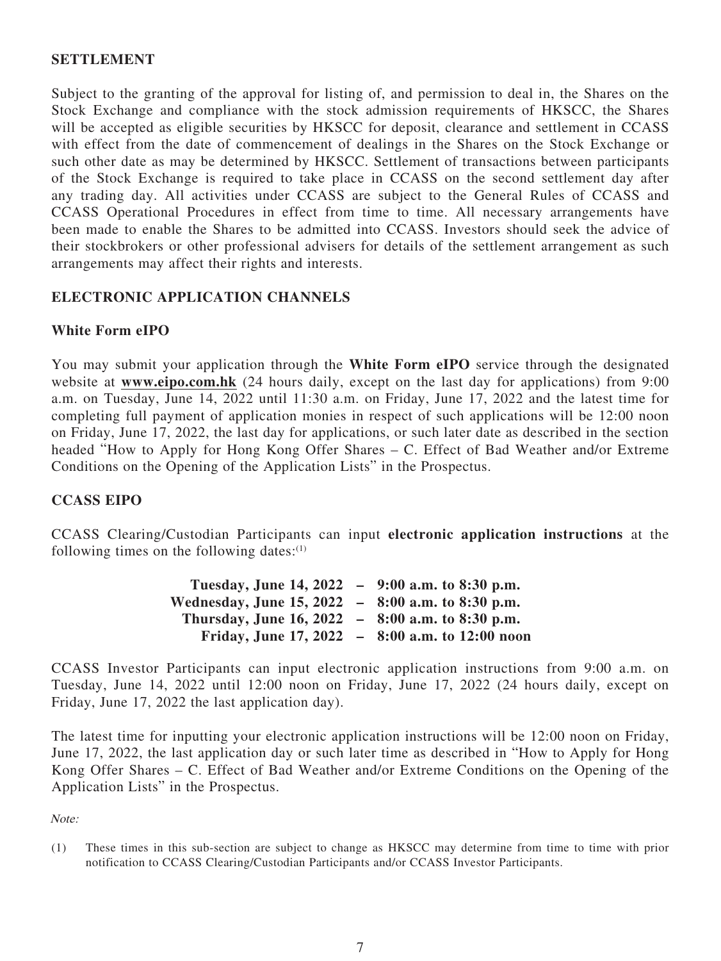## **SETTLEMENT**

Subject to the granting of the approval for listing of, and permission to deal in, the Shares on the Stock Exchange and compliance with the stock admission requirements of HKSCC, the Shares will be accepted as eligible securities by HKSCC for deposit, clearance and settlement in CCASS with effect from the date of commencement of dealings in the Shares on the Stock Exchange or such other date as may be determined by HKSCC. Settlement of transactions between participants of the Stock Exchange is required to take place in CCASS on the second settlement day after any trading day. All activities under CCASS are subject to the General Rules of CCASS and CCASS Operational Procedures in effect from time to time. All necessary arrangements have been made to enable the Shares to be admitted into CCASS. Investors should seek the advice of their stockbrokers or other professional advisers for details of the settlement arrangement as such arrangements may affect their rights and interests.

# **ELECTRONIC APPLICATION CHANNELS**

## **White Form eIPO**

You may submit your application through the **White Form eIPO** service through the designated website at **www.eipo.com.hk** (24 hours daily, except on the last day for applications) from 9:00 a.m. on Tuesday, June 14, 2022 until 11:30 a.m. on Friday, June 17, 2022 and the latest time for completing full payment of application monies in respect of such applications will be 12:00 noon on Friday, June 17, 2022, the last day for applications, or such later date as described in the section headed "How to Apply for Hong Kong Offer Shares – C. Effect of Bad Weather and/or Extreme Conditions on the Opening of the Application Lists" in the Prospectus.

### **CCASS EIPO**

CCASS Clearing/Custodian Participants can input **electronic application instructions** at the following times on the following dates: $(1)$ 

| Tuesday, June 14, 2022 - 9:00 a.m. to 8:30 p.m.   |                                                 |
|---------------------------------------------------|-------------------------------------------------|
| Wednesday, June 15, 2022 - 8:00 a.m. to 8:30 p.m. |                                                 |
| Thursday, June 16, 2022 - 8:00 a.m. to 8:30 p.m.  |                                                 |
|                                                   | Friday, June 17, 2022 - 8:00 a.m. to 12:00 noon |

CCASS Investor Participants can input electronic application instructions from 9:00 a.m. on Tuesday, June 14, 2022 until 12:00 noon on Friday, June 17, 2022 (24 hours daily, except on Friday, June 17, 2022 the last application day).

The latest time for inputting your electronic application instructions will be 12:00 noon on Friday, June 17, 2022, the last application day or such later time as described in "How to Apply for Hong Kong Offer Shares – C. Effect of Bad Weather and/or Extreme Conditions on the Opening of the Application Lists" in the Prospectus.

Note:

(1) These times in this sub-section are subject to change as HKSCC may determine from time to time with prior notification to CCASS Clearing/Custodian Participants and/or CCASS Investor Participants.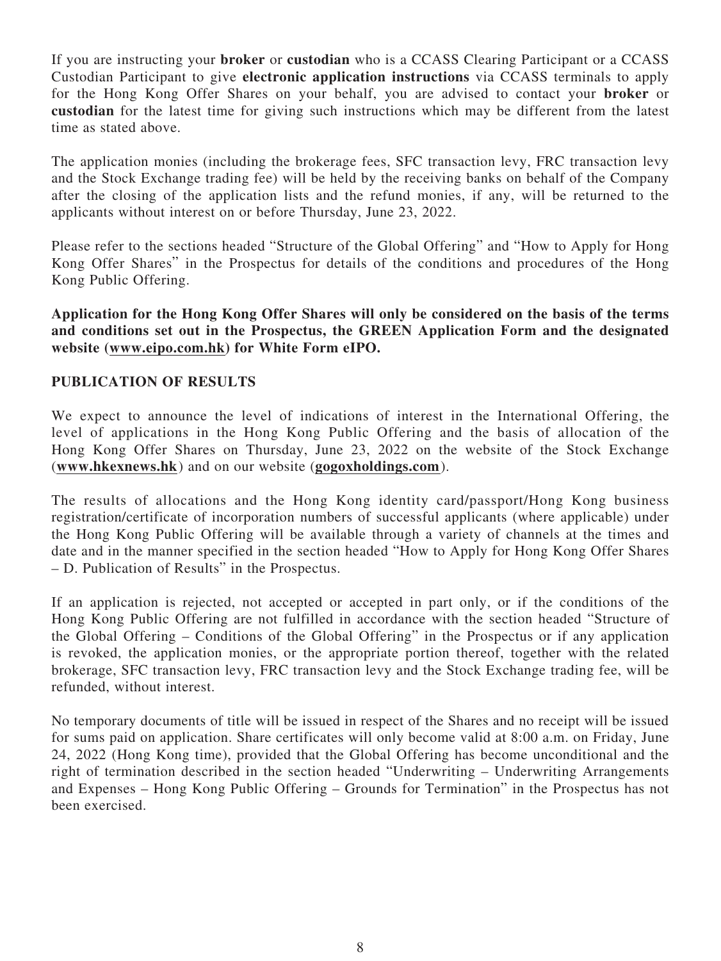If you are instructing your **broker** or **custodian** who is a CCASS Clearing Participant or a CCASS Custodian Participant to give **electronic application instructions** via CCASS terminals to apply for the Hong Kong Offer Shares on your behalf, you are advised to contact your **broker** or **custodian** for the latest time for giving such instructions which may be different from the latest time as stated above.

The application monies (including the brokerage fees, SFC transaction levy, FRC transaction levy and the Stock Exchange trading fee) will be held by the receiving banks on behalf of the Company after the closing of the application lists and the refund monies, if any, will be returned to the applicants without interest on or before Thursday, June 23, 2022.

Please refer to the sections headed "Structure of the Global Offering" and "How to Apply for Hong Kong Offer Shares" in the Prospectus for details of the conditions and procedures of the Hong Kong Public Offering.

**Application for the Hong Kong Offer Shares will only be considered on the basis of the terms and conditions set out in the Prospectus, the GREEN Application Form and the designated website (www.eipo.com.hk) for White Form eIPO.**

## **PUBLICATION OF RESULTS**

We expect to announce the level of indications of interest in the International Offering, the level of applications in the Hong Kong Public Offering and the basis of allocation of the Hong Kong Offer Shares on Thursday, June 23, 2022 on the website of the Stock Exchange (**www.hkexnews.hk**) and on our website (**gogoxholdings.com** ).

The results of allocations and the Hong Kong identity card/passport/Hong Kong business registration/certificate of incorporation numbers of successful applicants (where applicable) under the Hong Kong Public Offering will be available through a variety of channels at the times and date and in the manner specified in the section headed "How to Apply for Hong Kong Offer Shares – D. Publication of Results" in the Prospectus.

If an application is rejected, not accepted or accepted in part only, or if the conditions of the Hong Kong Public Offering are not fulfilled in accordance with the section headed "Structure of the Global Offering – Conditions of the Global Offering" in the Prospectus or if any application is revoked, the application monies, or the appropriate portion thereof, together with the related brokerage, SFC transaction levy, FRC transaction levy and the Stock Exchange trading fee, will be refunded, without interest.

No temporary documents of title will be issued in respect of the Shares and no receipt will be issued for sums paid on application. Share certificates will only become valid at 8:00 a.m. on Friday, June 24, 2022 (Hong Kong time), provided that the Global Offering has become unconditional and the right of termination described in the section headed "Underwriting – Underwriting Arrangements and Expenses – Hong Kong Public Offering – Grounds for Termination" in the Prospectus has not been exercised.